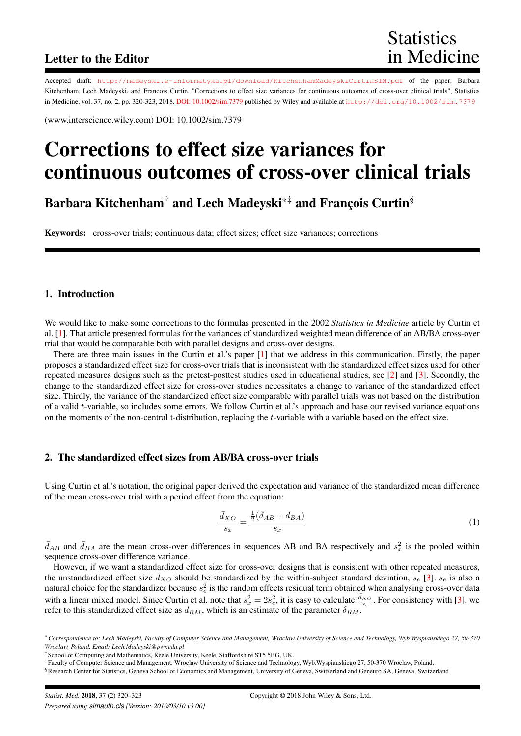# Letter to the Editor

Accepted draft: <http://madeyski.e-informatyka.pl/download/KitchenhamMadeyskiCurtinSIM.pdf> of the paper: Barbara Kitchenham, Lech Madeyski, and Francois Curtin, "Corrections to effect size variances for continuous outcomes of cross-over clinical trials", Statistics in Medicine, vol. 37, no. 2, pp. 320-323, 2018. [DOI: 10.1002/sim.7379](http://doi.org/10.1002/sim.7379) published by Wiley and available at <http://doi.org/10.1002/sim.7379>

(www.interscience.wiley.com) DOI: 10.1002/sim.7379

# Corrections to effect size variances for continuous outcomes of cross-over clinical trials

Barbara Kitchenham<sup>†</sup> and Lech Madeyski<sup>\*‡</sup> and François Curtin<sup>§</sup>

Keywords: cross-over trials; continuous data; effect sizes; effect size variances; corrections

### 1. Introduction

We would like to make some corrections to the formulas presented in the 2002 *Statistics in Medicine* article by Curtin et al. [\[1\]](#page-3-0). That article presented formulas for the variances of standardized weighted mean difference of an AB/BA cross-over trial that would be comparable both with parallel designs and cross-over designs.

There are three main issues in the Curtin et al.'s paper [\[1\]](#page-3-0) that we address in this communication. Firstly, the paper proposes a standardized effect size for cross-over trials that is inconsistent with the standardized effect sizes used for other repeated measures designs such as the pretest-posttest studies used in educational studies, see [\[2\]](#page-3-1) and [\[3\]](#page-3-2). Secondly, the change to the standardized effect size for cross-over studies necessitates a change to variance of the standardized effect size. Thirdly, the variance of the standardized effect size comparable with parallel trials was not based on the distribution of a valid t-variable, so includes some errors. We follow Curtin et al.'s approach and base our revised variance equations on the moments of the non-central t-distribution, replacing the t-variable with a variable based on the effect size.

### 2. The standardized effect sizes from AB/BA cross-over trials

Using Curtin et al.'s notation, the original paper derived the expectation and variance of the standardized mean difference of the mean cross-over trial with a period effect from the equation:

<span id="page-0-0"></span>
$$
\frac{\bar{d}_{XO}}{s_x} = \frac{\frac{1}{2}(\bar{d}_{AB} + \bar{d}_{BA})}{s_x} \tag{1}
$$

 $\bar{d}_{AB}$  and  $\bar{d}_{BA}$  are the mean cross-over differences in sequences AB and BA respectively and  $s_x^2$  is the pooled within sequence cross-over difference variance.

However, if we want a standardized effect size for cross-over designs that is consistent with other repeated measures, the unstandardized effect size  $\bar{d}_{XO}$  should be standardized by the within-subject standard deviation,  $s_e$  [\[3\]](#page-3-2).  $s_e$  is also a natural choice for the standardizer because  $s_e^2$  is the random effects residual term obtained when analysing cross-over data with a linear mixed model. Since Curtin et al. note that  $s_x^2 = 2s_e^2$ , it is easy to calculate  $\frac{d_{X_O}}{s_e}$ . For consistency with [\[3\]](#page-3-2), we refer to this standardized effect size as  $d_{RM}$ , which is an estimate of the parameter  $\delta_{RM}$ .

<sup>∗</sup>*Correspondence to: Lech Madeyski, Faculty of Computer Science and Management, Wroclaw University of Science and Technology, Wyb.Wyspianskiego 27, 50-370 Wroclaw, Poland. Email: Lech.Madeyski@pwr.edu.pl*

<sup>†</sup>School of Computing and Mathematics, Keele University, Keele, Staffordshire ST5 5BG, UK.

<sup>‡</sup>Faculty of Computer Science and Management, Wroclaw University of Science and Technology, Wyb.Wyspianskiego 27, 50-370 Wroclaw, Poland.

<sup>§</sup>Research Center for Statistics, Geneva School of Economics and Management, University of Geneva, Switzerland and Geneuro SA, Geneva, Switzerland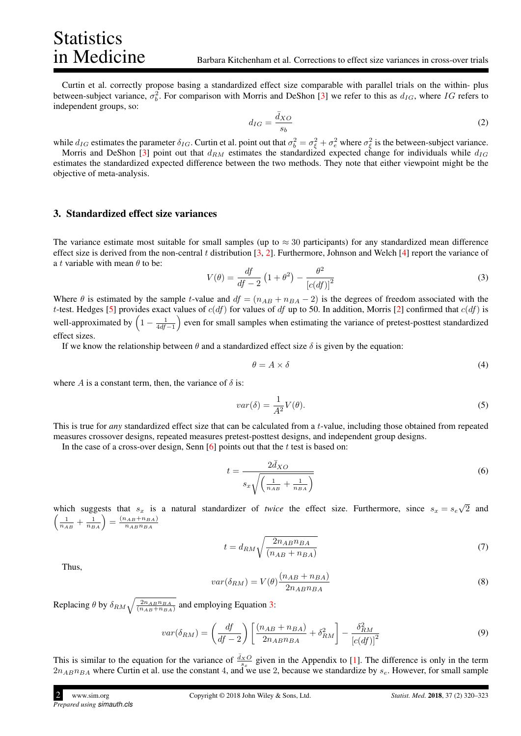Curtin et al. correctly propose basing a standardized effect size comparable with parallel trials on the within- plus between-subject variance,  $\sigma_b^2$ . For comparison with Morris and DeShon [\[3\]](#page-3-2) we refer to this as  $d_{IG}$ , where IG refers to independent groups, so:

$$
d_{IG} = \frac{\bar{d}_{XO}}{s_b} \tag{2}
$$

while  $d_{IG}$  estimates the parameter  $\delta_{IG}$ . Curtin et al. point out that  $\sigma_b^2 = \sigma_{\xi}^2 + \sigma_e^2$  where  $\sigma_{\xi}^2$  is the between-subject variance.

Morris and DeShon [\[3\]](#page-3-2) point out that  $d_{RM}$  estimates the standardized expected change for individuals while  $d_{IG}$ estimates the standardized expected difference between the two methods. They note that either viewpoint might be the objective of meta-analysis.

#### 3. Standardized effect size variances

Statistics<br>in Medicine

The variance estimate most suitable for small samples (up to  $\approx$  30 participants) for any standardized mean difference effect size is derived from the non-central t distribution  $[3, 2]$  $[3, 2]$  $[3, 2]$ . Furthermore, Johnson and Welch  $[4]$  report the variance of a t variable with mean  $\theta$  to be:

<span id="page-1-0"></span>
$$
V(\theta) = \frac{df}{df - 2} \left( 1 + \theta^2 \right) - \frac{\theta^2}{\left[c(df)\right]^2} \tag{3}
$$

Where  $\theta$  is estimated by the sample t-value and  $df = (n_{AB} + n_{BA} - 2)$  is the degrees of freedom associated with the t-test. Hedges [\[5\]](#page-3-4) provides exact values of  $c(df)$  for values of df up to 50. In addition, Morris [\[2\]](#page-3-1) confirmed that  $c(df)$  is well-approximated by  $\left(1-\frac{1}{4df-1}\right)$  even for small samples when estimating the variance of pretest-posttest standardized effect sizes.

If we know the relationship between  $\theta$  and a standardized effect size  $\delta$  is given by the equation:

$$
\theta = A \times \delta \tag{4}
$$

where A is a constant term, then, the variance of  $\delta$  is:

$$
var(\delta) = \frac{1}{A^2} V(\theta). \tag{5}
$$

This is true for *any* standardized effect size that can be calculated from a t-value, including those obtained from repeated measures crossover designs, repeated measures pretest-posttest designs, and independent group designs.

In the case of a cross-over design, Senn  $[6]$  points out that the t test is based on:

<span id="page-1-2"></span>
$$
t = \frac{2\bar{d}_{XO}}{s_x \sqrt{\left(\frac{1}{n_{AB}} + \frac{1}{n_{BA}}\right)}}
$$
(6)

which suggests that  $s_x$  is a natural standardizer of *twice* the effect size. Furthermore, since  $s_x = s_e$ √ 2 and  $\left(\frac{1}{n_{AB}} + \frac{1}{n_{BA}}\right) = \frac{(n_{AB} + n_{BA})}{n_{AB}n_{BA}}$  $n_{AB}n_{BA}$ 

$$
t = d_{RM} \sqrt{\frac{2n_{AB}n_{BA}}{(n_{AB} + n_{BA})}}
$$
\n<sup>(7)</sup>

Thus,

$$
var(\delta_{RM}) = V(\theta) \frac{(n_{AB} + n_{BA})}{2n_{AB}n_{BA}}
$$
\n(8)

Replacing  $\theta$  by  $\delta_{RM} \sqrt{\frac{2n_{AB}n_{BA}}{(n_{AB}+n_{BA})}}$  and employing Equation [3:](#page-1-0)

<span id="page-1-1"></span>
$$
var(\delta_{RM}) = \left(\frac{df}{df - 2}\right) \left[\frac{(n_{AB} + n_{BA})}{2n_{AB}n_{BA}} + \delta_{RM}^2\right] - \frac{\delta_{RM}^2}{\left[c(df)\right]^2}
$$
(9)

This is similar to the equation for the variance of  $\frac{d_{X}O}{s_{x}}$  given in the Appendix to [\[1\]](#page-3-0). The difference is only in the term  $2n_{AB}n_{BA}$  where Curtin et al. use the constant 4, and we use 2, because we standardize by  $s_e$ . However, for small sample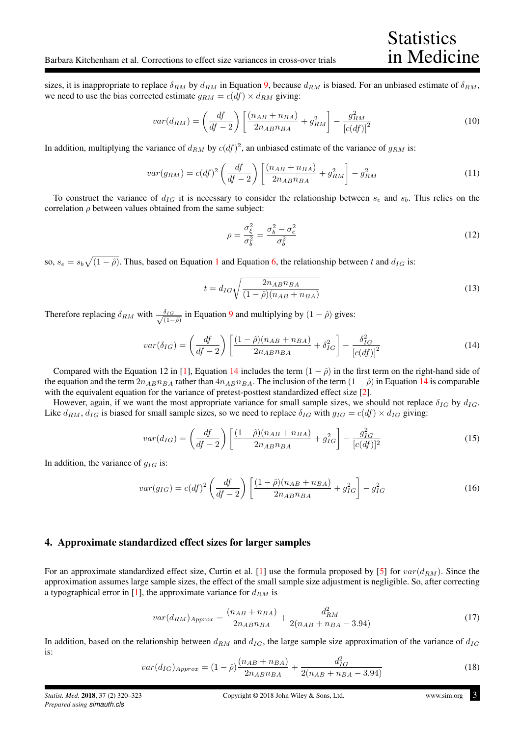sizes, it is inappropriate to replace  $\delta_{RM}$  by  $d_{RM}$  in Equation [9,](#page-1-1) because  $d_{RM}$  is biased. For an unbiased estimate of  $\delta_{RM}$ , we need to use the bias corrected estimate  $g_{RM} = c(df) \times d_{RM}$  giving:

$$
var(d_{RM}) = \left(\frac{df}{df - 2}\right) \left[\frac{(n_{AB} + n_{BA})}{2n_{AB}n_{BA}} + g_{RM}^2\right] - \frac{g_{RM}^2}{\left[c(df)\right]^2}
$$
(10)

In addition, multiplying the variance of  $d_{RM}$  by  $c(df)^2$ , an unbiased estimate of the variance of  $g_{RM}$  is:

$$
var(g_{RM}) = c(df)^{2} \left(\frac{df}{df - 2}\right) \left[\frac{(n_{AB} + n_{BA})}{2n_{AB}n_{BA}} + g_{RM}^{2}\right] - g_{RM}^{2}
$$
(11)

To construct the variance of  $d_{IG}$  it is necessary to consider the relationship between  $s_e$  and  $s_b$ . This relies on the correlation  $\rho$  between values obtained from the same subject:

$$
\rho = \frac{\sigma_{\xi}^2}{\sigma_b^2} = \frac{\sigma_b^2 - \sigma_e^2}{\sigma_b^2} \tag{12}
$$

so,  $s_e = s_b \sqrt{(1-\hat{\rho})}$  $s_e = s_b \sqrt{(1-\hat{\rho})}$  $s_e = s_b \sqrt{(1-\hat{\rho})}$ . Thus, based on Equation 1 and Equation [6,](#page-1-2) the relationship between t and  $d_{IG}$  is:

$$
t = d_{IG} \sqrt{\frac{2n_{AB}n_{BA}}{(1 - \hat{\rho})(n_{AB} + n_{BA})}}
$$
(13)

Therefore replacing  $\delta_{RM}$  with  $\frac{\delta_{IG}}{\sqrt{1-\delta_{IM}}}$  $\frac{\delta_{IG}}{(1-\hat{\rho})}$  in Equation [9](#page-1-1) and multiplying by  $(1-\hat{\rho})$  gives:

<span id="page-2-0"></span>
$$
var(\delta_{IG}) = \left(\frac{df}{df - 2}\right) \left[\frac{(1 - \hat{\rho})(n_{AB} + n_{BA})}{2n_{AB}n_{BA}} + \delta_{IG}^2\right] - \frac{\delta_{IG}^2}{\left[c(df)\right]^2}
$$
(14)

Compared with the Equation 12 in [\[1\]](#page-3-0), Equation [14](#page-2-0) includes the term  $(1 - \hat{\rho})$  in the first term on the right-hand side of the equation and the term  $2n_{AB}n_{BA}$  rather than  $4n_{AB}n_{BA}$ . The inclusion of the term  $(1 - \hat{\rho})$  in Equation [14](#page-2-0) is comparable with the equivalent equation for the variance of pretest-posttest standardized effect size [\[2\]](#page-3-1).

However, again, if we want the most appropriate variance for small sample sizes, we should not replace  $\delta_{IG}$  by  $d_{IG}$ . Like  $d_{RM}$ ,  $d_{IG}$  is biased for small sample sizes, so we need to replace  $\delta_{IG}$  with  $g_{IG} = c(df) \times d_{IG}$  giving:

$$
var(d_{IG}) = \left(\frac{df}{df - 2}\right) \left[ \frac{(1 - \hat{\rho})(n_{AB} + n_{BA})}{2n_{AB}n_{BA}} + g_{IG}^2 \right] - \frac{g_{IG}^2}{[c(df)]^2}
$$
(15)

In addition, the variance of  $g_{IG}$  is:

$$
var(g_{IG}) = c(df)^2 \left(\frac{df}{df - 2}\right) \left[\frac{(1 - \hat{\rho})(n_{AB} + n_{BA})}{2n_{AB}n_{BA}} + g_{IG}^2\right] - g_{IG}^2 \tag{16}
$$

#### 4. Approximate standardized effect sizes for larger samples

For an approximate standardized effect size, Curtin et al. [\[1\]](#page-3-0) use the formula proposed by [\[5\]](#page-3-4) for  $var(d_{RM})$ . Since the approximation assumes large sample sizes, the effect of the small sample size adjustment is negligible. So, after correcting a typographical error in [\[1\]](#page-3-0), the approximate variance for  $d_{RM}$  is

$$
var(d_{RM})_{Approx} = \frac{(n_{AB} + n_{BA})}{2n_{AB}n_{BA}} + \frac{d_{RM}^2}{2(n_{AB} + n_{BA} - 3.94)}
$$
(17)

In addition, based on the relationship between  $d_{RM}$  and  $d_{IG}$ , the large sample size approximation of the variance of  $d_{IG}$ is:

$$
var(d_{IG})_{Approx} = (1 - \hat{\rho}) \frac{(n_{AB} + n_{BA})}{2n_{AB}n_{BA}} + \frac{d_{IG}^2}{2(n_{AB} + n_{BA} - 3.94)}
$$
(18)